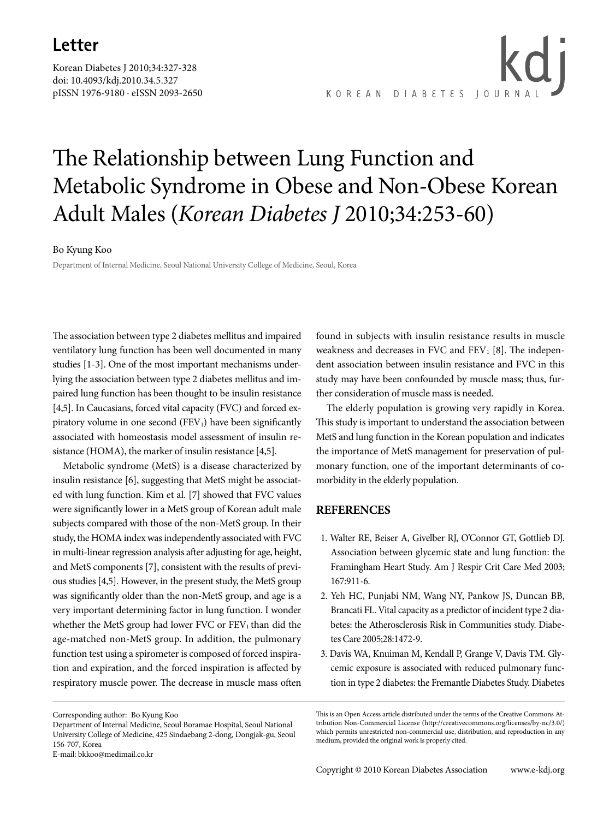### **Letter**

Korean Diabetes J 2010;34:327-328 doi: 10.4093/kdj.2010.34.5.327 pISSN 1976-9180 · eISSN 2093-2650

kd i KOREAN DIABETES JOURNA

## The Relationship between Lung Function and Metabolic Syndrome in Obese and Non-Obese Korean Adult Males (*Korean Diabetes J* 2010;34:253-60)

#### Bo Kyung Koo

Department of Internal Medicine, Seoul National University College of Medicine, Seoul, Korea

The association between type 2 diabetes mellitus and impaired ventilatory lung function has been well documented in many studies [1-3]. One of the most important mechanisms underlying the association between type 2 diabetes mellitus and impaired lung function has been thought to be insulin resistance [4,5]. In Caucasians, forced vital capacity (FVC) and forced expiratory volume in one second  $(FEV_1)$  have been significantly associated with homeostasis model assessment of insulin resistance (HOMA), the marker of insulin resistance [4,5].

Metabolic syndrome (MetS) is a disease characterized by insulin resistance [6], suggesting that MetS might be associated with lung function. Kim et al. [7] showed that FVC values were significantly lower in a MetS group of Korean adult male subjects compared with those of the non-MetS group. In their study, the HOMA index was independently associated with FVC in multi-linear regression analysis after adjusting for age, height, and MetS components [7], consistent with the results of previous studies [4,5]. However, in the present study, the MetS group was significantly older than the non-MetS group, and age is a very important determining factor in lung function. I wonder whether the MetS group had lower FVC or  $FEV<sub>1</sub>$  than did the age-matched non-MetS group. In addition, the pulmonary function test using a spirometer is composed of forced inspiration and expiration, and the forced inspiration is affected by respiratory muscle power. The decrease in muscle mass often

Corresponding author: Bo Kyung Koo

E-mail: bkkoo@medimail.co.kr

found in subjects with insulin resistance results in muscle weakness and decreases in FVC and  $FEV<sub>1</sub>$  [8]. The independent association between insulin resistance and FVC in this study may have been confounded by muscle mass; thus, further consideration of muscle mass is needed.

The elderly population is growing very rapidly in Korea. This study is important to understand the association between MetS and lung function in the Korean population and indicates the importance of MetS management for preservation of pulmonary function, one of the important determinants of comorbidity in the elderly population.

#### **REFERENCES**

- 1. Walter RE, Beiser A, Givelber RJ, O'Connor GT, Gottlieb DJ. Association between glycemic state and lung function: the Framingham Heart Study. Am J Respir Crit Care Med 2003; 167:911-6.
- 2. Yeh HC, Punjabi NM, Wang NY, Pankow JS, Duncan BB, Brancati FL. Vital capacity as a predictor of incident type 2 diabetes: the Atherosclerosis Risk in Communities study. Diabetes Care 2005;28:1472-9.
- 3. Davis WA, Knuiman M, Kendall P, Grange V, Davis TM. Glycemic exposure is associated with reduced pulmonary function in type 2 diabetes: the Fremantle Diabetes Study. Diabetes

Department of Internal Medicine, Seoul Boramae Hospital, Seoul National University College of Medicine, 425 Sindaebang 2-dong, Dongjak-gu, Seoul 156-707, Korea

This is an Open Access article distributed under the terms of the Creative Commons Attribution Non-Commercial License (http://creativecommons.org/licenses/by-nc/3.0/) which permits unrestricted non-commercial use, distribution, and reproduction in any medium, provided the original work is properly cited.